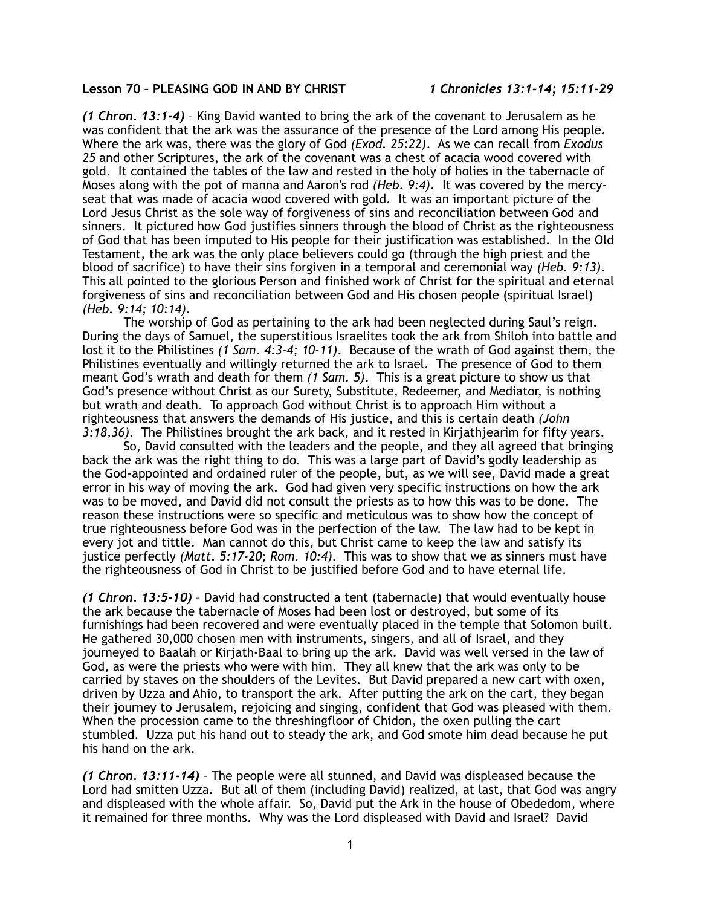## **Lesson 70 – PLEASING GOD IN AND BY CHRIST** *1 Chronicles 13:1-14; 15:11-29*

*(1 Chron. 13:1-4)* – King David wanted to bring the ark of the covenant to Jerusalem as he was confident that the ark was the assurance of the presence of the Lord among His people. Where the ark was, there was the glory of God *(Exod. 25:22)*. As we can recall from *Exodus 25* and other Scriptures, the ark of the covenant was a chest of acacia wood covered with gold. It contained the tables of the law and rested in the holy of holies in the tabernacle of Moses along with the pot of manna and Aaron's rod *(Heb. 9:4)*. It was covered by the mercyseat that was made of acacia wood covered with gold. It was an important picture of the Lord Jesus Christ as the sole way of forgiveness of sins and reconciliation between God and sinners. It pictured how God justifies sinners through the blood of Christ as the righteousness of God that has been imputed to His people for their justification was established. In the Old Testament, the ark was the only place believers could go (through the high priest and the blood of sacrifice) to have their sins forgiven in a temporal and ceremonial way *(Heb. 9:13)*. This all pointed to the glorious Person and finished work of Christ for the spiritual and eternal forgiveness of sins and reconciliation between God and His chosen people (spiritual Israel) *(Heb. 9:14; 10:14)*.

The worship of God as pertaining to the ark had been neglected during Saul's reign. During the days of Samuel, the superstitious Israelites took the ark from Shiloh into battle and lost it to the Philistines *(1 Sam. 4:3-4; 10-11)*. Because of the wrath of God against them, the Philistines eventually and willingly returned the ark to Israel. The presence of God to them meant God's wrath and death for them *(1 Sam. 5)*. This is a great picture to show us that God's presence without Christ as our Surety, Substitute, Redeemer, and Mediator, is nothing but wrath and death. To approach God without Christ is to approach Him without a righteousness that answers the demands of His justice, and this is certain death *(John 3:18,36)*. The Philistines brought the ark back, and it rested in Kirjathjearim for fifty years.

So, David consulted with the leaders and the people, and they all agreed that bringing back the ark was the right thing to do. This was a large part of David's godly leadership as the God-appointed and ordained ruler of the people, but, as we will see, David made a great error in his way of moving the ark. God had given very specific instructions on how the ark was to be moved, and David did not consult the priests as to how this was to be done. The reason these instructions were so specific and meticulous was to show how the concept of true righteousness before God was in the perfection of the law. The law had to be kept in every jot and tittle. Man cannot do this, but Christ came to keep the law and satisfy its justice perfectly *(Matt. 5:17-20; Rom. 10:4)*. This was to show that we as sinners must have the righteousness of God in Christ to be justified before God and to have eternal life.

*(1 Chron. 13:5-10)* – David had constructed a tent (tabernacle) that would eventually house the ark because the tabernacle of Moses had been lost or destroyed, but some of its furnishings had been recovered and were eventually placed in the temple that Solomon built. He gathered 30,000 chosen men with instruments, singers, and all of Israel, and they journeyed to Baalah or Kirjath-Baal to bring up the ark. David was well versed in the law of God, as were the priests who were with him. They all knew that the ark was only to be carried by staves on the shoulders of the Levites. But David prepared a new cart with oxen, driven by Uzza and Ahio, to transport the ark. After putting the ark on the cart, they began their journey to Jerusalem, rejoicing and singing, confident that God was pleased with them. When the procession came to the threshingfloor of Chidon, the oxen pulling the cart stumbled. Uzza put his hand out to steady the ark, and God smote him dead because he put his hand on the ark.

*(1 Chron. 13:11-14)* – The people were all stunned, and David was displeased because the Lord had smitten Uzza. But all of them (including David) realized, at last, that God was angry and displeased with the whole affair. So, David put the Ark in the house of Obededom, where it remained for three months. Why was the Lord displeased with David and Israel? David